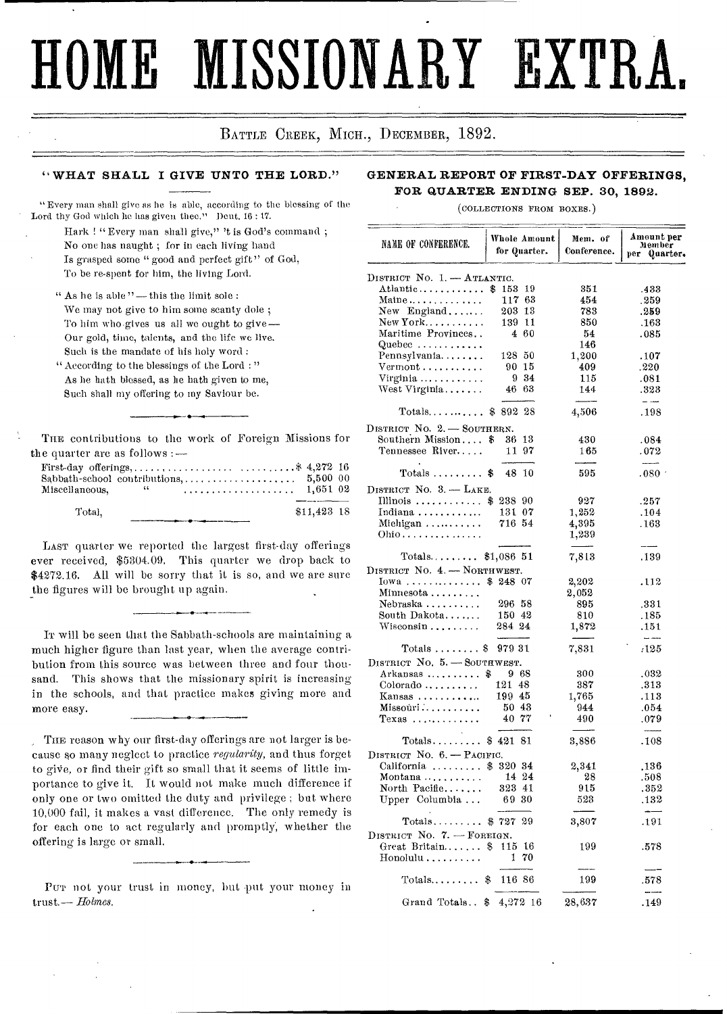# **HOME MISSIONARY EXTR.**

BATTLE CREEK, MICH., DECEMBER, 1892.

### **" WHAT SHALL I GIVE UNTO THE LORD."**

" Every man shall give as he is able, according to the blessing of the Lord thy God which he has given thee." Dent. 16 : 17.

Hark ! "Every man shall give," 't is God's command ; No one has naught ; for in each living hand Is grasped some " good and perfect gift" of God, To be re-spent for him, the living Lord.

" As he is able "— this the limit sole : We may not give to him some scanty dole ; To him who.gives us all we ought to give— Our gold, time, talents, and the life we live. Such is the mandate of his holy word :

- "According to the blessings of the Lord : " As he bath blessed, as he bath given to me, Such shall my offering to my Saviour be.
- THE contributions to the work of Foreign Missions for the quarter are as follows :—

| $\text{Sabbath-school~contributions}, \ldots, \ldots, \ldots, \ldots, 5,500\;\;00$ |      |  |  |  |  |  |              |  |
|------------------------------------------------------------------------------------|------|--|--|--|--|--|--------------|--|
| Miscellaneous,                                                                     | - 64 |  |  |  |  |  | 1.651 02     |  |
|                                                                                    |      |  |  |  |  |  |              |  |
| Total.                                                                             |      |  |  |  |  |  | $$11.423$ 18 |  |

LAST quarter we reported the largest first-day offerings ever received, \$5304.09. This quarter we drop back to \$4272.16. All will be sorry that it is so, and we are sure the figures will be brought up again.

IT will be seen that the Sabbath-schools are maintaining a much higher figure than last year, when the average contribution from this source was between three and four thousand. This shows that the missionary spirit is increasing in the schools, and that practice makes giving more and more easy.

THE reason why our first-day offerings are not larger is because so many neglect to practice *regularity,* and thus forget to give, or find their gift so small that it seems of little importance to give it. It would not make much difference if only one or two omitted the duty and privilege ; but where 10,000 fail, it makes a vast difference. The only remedy is for each one to act regularly and promptly, whether the offering is large or small.

# Pur not your trust in money, but put your money in trust.— *Holmes.*

### **GENERAL REPORT OF FIRST-DAY OFFERINGS, FOR QUARTER ENDING SEP. 30, 1892.**

(COLLECTIONS FROM BOXES.)

| NAME OF CONFERENCE.                                    | Whole Amount<br>for Quarter. | Mem. of<br>Conference. | Amount per<br>Member<br>per Quarter. |
|--------------------------------------------------------|------------------------------|------------------------|--------------------------------------|
| DISTRICT No. 1. - ATLANTIC.                            |                              |                        |                                      |
| Atlantic                                               | \$.<br>153<br>-19            | 351                    | .433                                 |
| Maine                                                  | 117 <sub>63</sub>            | 454                    | . 259                                |
| New England                                            | $203$ $13$                   | 783                    | .259                                 |
| $New York. \ldots \ldots$                              | 139 11                       | 850                    | .163                                 |
| Maritime Provinces                                     | 4 60                         | 54                     | .085                                 |
| Quebec $\dots\dots\dots\dots$                          |                              | 146                    |                                      |
| Pennsylvania                                           | 128<br>-50                   | 1,200                  | .107                                 |
| $Vermont \ldots \ldots \ldots$                         | 15<br>90                     | 409                    | .220                                 |
| Virginia                                               | 9 34                         | 115                    | .081                                 |
| West Virginia                                          | $46\text{ }63$               | 144                    | .323                                 |
|                                                        |                              |                        | $ -$                                 |
| Totals \$ 892                                          | -28                          | 4,506                  | .198                                 |
| DISTRICT No. 2. - SOUTHERN.                            |                              |                        |                                      |
| Southern Mission                                       | 13<br>\$<br>36               | 430                    | .084                                 |
| Tennessee River                                        | 11 97                        | 165                    | .072                                 |
|                                                        | 48<br>10<br>\$               | 595                    | ------                               |
| $\mathrm{Totals}$                                      |                              |                        | $.080$ :                             |
| DISTRICT NO. 3. - LAKE.                                |                              |                        |                                      |
| Illinois                                               | \$23890                      | 927                    | .257                                 |
| Indiana                                                | 131 07                       | 1,252                  | .104                                 |
| Miehigan                                               | 716 54                       | 4,395                  | .163                                 |
| Ohio                                                   |                              | 1,239                  |                                      |
| $\mathrm{Totals.} \dots \dots \dots$                   | \$1,086 51                   | 7,813                  | .139                                 |
| DISTRICT NO. 4. - NORTHWEST.                           |                              |                        |                                      |
| Iowa                                                   | \$24807                      | 2,202                  | .112                                 |
| Minnesota                                              |                              | 2,052                  |                                      |
| Nebraska                                               | 296 58                       | 895                    | .331                                 |
| South Dakota                                           | 150 42                       | 810                    | .185                                 |
| $\rm W is cosin \dots \dots$                           | 284 24                       | 1,872                  | .151                                 |
|                                                        | 979 31                       |                        | $\sim$ $\sim$                        |
| Totals $\ldots \ldots$ . \$                            |                              | 7,831                  | :125                                 |
| DISTRICT No. 5. - SOUTHWEST.                           |                              |                        |                                      |
| Arkansas                                               | 968<br>\$                    | 300                    | .032                                 |
| Colorado                                               | 121 48                       | 387                    | .313                                 |
| Kansas $\dots \dots \dots$                             | 19945                        | 1,765                  | .113                                 |
| $M$ issoúri $\ldots \ldots \ldots$ .                   | 50 43                        | 944                    | .054                                 |
| $T$ exas                                               | 40 77                        | 490                    | .079                                 |
| $\mathrm{Totals}\dots\dots\dots$                       | \$42181                      | 3,886                  | .108                                 |
| DISTRICT NO. 6. - PACIFIC.                             |                              |                        |                                      |
| California                                             | \$ 320 34                    | 2,341                  | .136                                 |
| Montana                                                | 14 24                        | 28                     |                                      |
| North Pacific                                          | 323 41                       | 915                    | .508<br>.352                         |
| Upper Columbia                                         | 69 30                        | 523                    | .132                                 |
|                                                        |                              |                        |                                      |
| $\text{Totals} \dots \dots \dots \text{\$} \text{727}$ | 29                           | 3,807                  | .191                                 |
| DISTRICT No. 7. - FOREIGN.                             |                              |                        |                                      |
| Great Britain                                          | \$<br>115<br>16              | 199                    | .578                                 |
| $\operatorname{Hon}$ olulu $\ldots \ldots \ldots$      | 70<br>1                      |                        |                                      |
| $\text{Totals} \dots \dots \dots$                      | \$<br>116 86                 | 199                    | 578                                  |
|                                                        |                              |                        | ---                                  |
| Grand Totals                                           | 4,272 16<br>\$               | 28,637                 | .149                                 |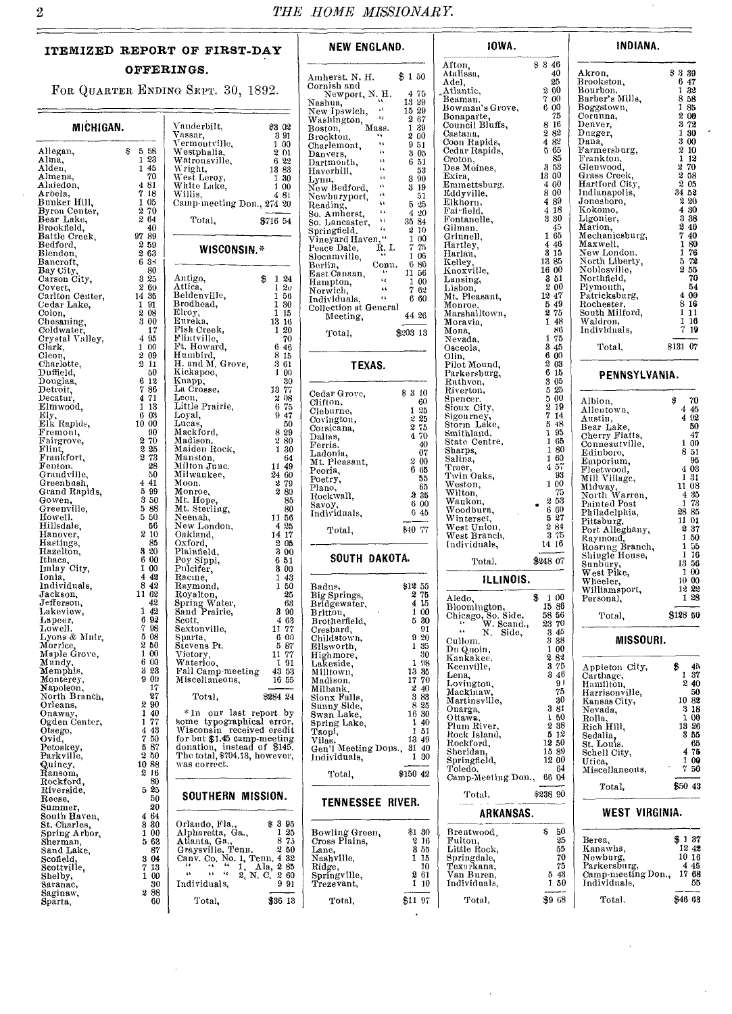# **ITEMIZED REPORT OF FIRST-DAY OFFERINGS.**

FOR QUARTER ENDING SEPT. 30, 1892.

|                           |              |                                           |               | <b>SALE</b><br>New Ipswich,                                                                                                                                                                                                          | 15 29         |
|---------------------------|--------------|-------------------------------------------|---------------|--------------------------------------------------------------------------------------------------------------------------------------------------------------------------------------------------------------------------------------|---------------|
|                           |              |                                           |               | New <sub>11</sub> - Washington, Mass.<br>Roston, Mass.                                                                                                                                                                               | 267           |
| MICHIGAN.                 |              | Vanderbilt,<br>Vassar,                    | \$3 02<br>391 |                                                                                                                                                                                                                                      | 1 39<br>200   |
|                           |              | Vermoutville,                             | 1 00          | Charlemont,                                                                                                                                                                                                                          | 951           |
| Allegan,                  | \$558        | Westphalia,                               | 2 01          |                                                                                                                                                                                                                                      | 3 05          |
| Alina,                    | 1 23         | Watrousville,                             | 6 22          |                                                                                                                                                                                                                                      | 651           |
| Alden,                    | 1 45         | Wright,                                   | 13 83         | Danyers, Dartmouth, "<br>Haverhill, "<br>Lynu                                                                                                                                                                                        | 53            |
| Almena,                   | 70           |                                           | 1 30          |                                                                                                                                                                                                                                      | 3 90          |
| Alaiedon,                 | 481          | West Leroy,<br>White Lake,                | 1 00          |                                                                                                                                                                                                                                      | 319           |
| Arbela,                   | 7 18         | Willis,                                   | 481           | Dan, Band<br>Haverhill, Bynn, Baylond, Baylon<br>New Bedford, Sawburyport, & Rewburyport, Sawburyport, Sawbury, Sawbury, Sawbury, Sawbury, Sawbury, Sawbury, Sawbury, Sawbury, Sawbury, Sawbury, Sawbury, Sawbury, Sawbury, Sawbury, | 51            |
| Bunker Hill,              | 105          | Camp-meeting Don., 274 20                 |               |                                                                                                                                                                                                                                      | 5 25          |
| Byron Center,             | 270<br>264   |                                           |               |                                                                                                                                                                                                                                      | 4 20          |
| Bear Lake,<br>Brookfield, | 40           | Total,                                    | \$716 54      |                                                                                                                                                                                                                                      | 35 84         |
| Battle Creek,             | 9789         |                                           |               | Springfield,                                                                                                                                                                                                                         | -2-10         |
| Bedford,                  | 259          |                                           |               | Vineyard Haven,"<br>Ŕ.I.                                                                                                                                                                                                             | 100<br>$7-75$ |
| Blendon,                  | 263          | WISCONSIN.*                               |               | Peace Dale,                                                                                                                                                                                                                          | 1 06          |
| Bancroft,                 | 635          |                                           |               | Slocumville,<br>Conn.<br>Berlin,                                                                                                                                                                                                     | 6 80          |
| Bay City,                 | 80           |                                           |               | East Canaan,                                                                                                                                                                                                                         | 11 56         |
| Carson City,              | 325          | Antigo,                                   | \$124         | $\frac{1}{2}$<br>Hampton,                                                                                                                                                                                                            | 1 00          |
| Covert,                   | 2 60         | Attica.                                   | 120           | $\overline{a}$<br>Norwich,                                                                                                                                                                                                           | 762           |
| Carlton Center,           | 14 35        | Beldenville,                              | 1 56          | Individuals, "                                                                                                                                                                                                                       | 6 60          |
| Cedar Lake,               | 191          | Brodhead,                                 | 1 30          | Collection at General                                                                                                                                                                                                                |               |
| Colon,                    | 208<br>3 00  | Elroy,<br>Eureka,                         | 1115<br>13 16 | Meeting,                                                                                                                                                                                                                             | 44 26         |
| Chesaning,<br>Coldwater,  | 17           | Fish Creek,                               | 1 20          |                                                                                                                                                                                                                                      |               |
| Crystal Valley,           | 4 95         | Flintville,                               | 70            | Total,                                                                                                                                                                                                                               | $$203$ 13     |
| Clark,                    | 100          | Ft. Howard,                               | 6 46          |                                                                                                                                                                                                                                      |               |
| Cleon,                    | 2 09         | Humbird,                                  | 8 15          |                                                                                                                                                                                                                                      |               |
| Charlotte,                | 2 11         | H. and M. Grove,                          | 361           | TEXAS.                                                                                                                                                                                                                               |               |
| Duffield,                 | 50           | Kickapoo,                                 | 1 00          |                                                                                                                                                                                                                                      |               |
| Douglas,                  | 612          | Knapp,                                    | $30\,$        |                                                                                                                                                                                                                                      |               |
| Detroit,                  | 786          | La Crosse,                                | 13 77         | Cedar Grove,                                                                                                                                                                                                                         | $$3\,10$      |
| Decatur,                  | 4 7 1        | Leon,                                     | 208           | Clifton,                                                                                                                                                                                                                             | 60            |
| Elmwood,                  | 113<br>6 03  | Little Prairie,                           | 675           | Cleburne,                                                                                                                                                                                                                            | 1 25          |
| Ely,<br>Elk Rapids,       | 10 00        | Loyal,<br>Lucas.                          | 9 47<br>50    | Covington,                                                                                                                                                                                                                           | 225           |
| Fremont,                  | 90           | Mackford,                                 | 8 29          | Corsicana,                                                                                                                                                                                                                           | 275           |
| Fairgrove,                | 2 70         | Madison,                                  | 280           | Daliss,                                                                                                                                                                                                                              | 4 70          |
| Flint,                    | 2 25         | Maiden Rock,                              | 1 30          | Ferris.                                                                                                                                                                                                                              | 40            |
| Frankfort,                | 2 73         | Manston,                                  | 64            | Ladonia,                                                                                                                                                                                                                             | 07<br>200     |
| Fenton.                   | 28           | Milton Junc.                              | 11 49         | Mt. Pleasant,                                                                                                                                                                                                                        | 6 65          |
| Grandville,               | 50           | Milwaukee,                                | 24 60         | Peoria,<br>Poetry,                                                                                                                                                                                                                   | 55            |
| Greenbash,                | 4 41         | Moon.                                     | 279           | Plano,                                                                                                                                                                                                                               | 65            |
| Grand Rapids,             | 5 9 9        | Monroe,                                   | 280           | Rockwall,                                                                                                                                                                                                                            | 335           |
| Gowen.                    | 3 50<br>5 88 | Mt. Hope,                                 | 85            | Savoy,                                                                                                                                                                                                                               | 600           |
| Greenville,<br>Howell,    | 5 50         | Mt. Sterling,<br>Neenah,                  | 80<br>11 56   | Individuals,                                                                                                                                                                                                                         | 645           |
| Hillsdale,                | 56           | New London,                               | 425           |                                                                                                                                                                                                                                      |               |
| Hanover,                  | 2 10         | Oakland,                                  | 14 17         | Total,                                                                                                                                                                                                                               | \$40 77       |
| Hastings,                 | 85           | Oxford,                                   | 2 05          |                                                                                                                                                                                                                                      |               |
| Hazelton,                 | 320          | Plainfield,                               | 3 00          |                                                                                                                                                                                                                                      |               |
| Ithaca,<br>Imlay City,    | 6 00         | Poy Sippi,                                | 651           | SOUTH DAKOTA.                                                                                                                                                                                                                        |               |
|                           | 1 00         | Pulcifer,                                 | 3 00          |                                                                                                                                                                                                                                      |               |
| Ionia,                    | 442          | Racme,                                    | 143           |                                                                                                                                                                                                                                      |               |
| Individuals,              | 842          | Raymond,                                  | 1 50          | Badus,                                                                                                                                                                                                                               | $$12\,55$     |
| Jackson,                  | 11 62<br>42  | Royalton,                                 | 25            | Big Springs,                                                                                                                                                                                                                         | 2.75          |
| Jefferson,<br>Lakeview,   | 142          | Spring Water,<br>Sand Prairie,            | 63<br>3 90    | Bridgewater,                                                                                                                                                                                                                         | 4 15<br>1 00  |
| Lapeer,                   | 6 92         | Scott,                                    | 4 63          | Brittou,<br>Brotherfield,                                                                                                                                                                                                            | 5 30          |
| Lowell.                   | 798          | Sextonville,                              | 11 77         | Cresbard,                                                                                                                                                                                                                            | 91            |
| Lyons & Muir,             | 5 08         | Sparta,                                   | 6 00          | Childstown,                                                                                                                                                                                                                          | 9 20          |
| Morrice,                  | 2 50         | Stevens Pt.                               | 587           | Ellsworth,                                                                                                                                                                                                                           | 1 35          |
| Maple Grove,              | 1 00         | Vietory,                                  | 11 77         | Highmore,                                                                                                                                                                                                                            | 30            |
| Mundy,                    | 6 00         | Waterloo,                                 | 191           | Lakeside,                                                                                                                                                                                                                            | 1 98          |
| Memphis,                  | 3 23         | Fall Camp meeting                         | 43 53         | Milltown.                                                                                                                                                                                                                            | 13 35         |
| Monterey,                 | 900          | Miscellaneous,                            | 16 55         | Madison,                                                                                                                                                                                                                             | 17 70         |
| Napoleon,                 | 17<br>27     |                                           | \$284 24      | Milbank,                                                                                                                                                                                                                             | 240<br>383    |
| North Branch,<br>Orleans, | 2 90         | Total,                                    |               | Sionx Falls,                                                                                                                                                                                                                         | 8 25          |
| Onaway,                   | 140          | *In our last report by                    |               | Sunny Side,<br>Swan Lake,                                                                                                                                                                                                            | 16 30         |
| Ogden Center,             | 1 77         | some typographical error,                 |               | Spring Lake,                                                                                                                                                                                                                         | 140           |
| Otsego,                   | 4 43         | Wisconsin received credit                 |               | Taopi,                                                                                                                                                                                                                               | 1 51          |
| Ovid,                     | 7 50         | for but \$1.45 camp-meeting               |               | Vilas                                                                                                                                                                                                                                | 1349          |
| Petoskey,                 | 587          | donation, instead of \$145.               |               | Gen'l Meeting Dons., 31 40                                                                                                                                                                                                           |               |
| Parkville,                | 250          | The total, \$704.13, however,             |               | Individuals,                                                                                                                                                                                                                         | 1 30          |
| Quincy,                   | 1088         | was correct.                              |               |                                                                                                                                                                                                                                      |               |
| Ransom,<br>Rockford,      | 216<br>80    |                                           |               | Total,                                                                                                                                                                                                                               | \$150 42      |
| Riverside,                | 25<br>5      |                                           |               |                                                                                                                                                                                                                                      |               |
| Recse,                    | 50           | SOUTHERN MISSION.                         |               |                                                                                                                                                                                                                                      |               |
| Summer,                   | 20           |                                           |               | <b>TENNESSEE RIVER.</b>                                                                                                                                                                                                              |               |
| South Haven,              | 4 64         |                                           |               |                                                                                                                                                                                                                                      |               |
| St. Charles,              | 330          | Orlando, Fla                              | \$395         |                                                                                                                                                                                                                                      |               |
| Spring Arbor,             | 1 00         | Alpharetta, Ga.,                          | 125           | Bowling Green,                                                                                                                                                                                                                       | \$1 80        |
| Sherman,                  | 563          | Atlanta, Ga.,                             | 875           | Cross Plains,                                                                                                                                                                                                                        | 216           |
| Sand Lake,                | 87           | Graysville. Tenn.                         | 250           | Lane,                                                                                                                                                                                                                                | 855<br>1 15   |
| Scofield,<br>Scottville,  | 3 04<br>7 13 | Canv. Co. No. 1, Tenn. 4 32<br>$\alpha$ . | 1, Ala, 285   | Nashville,<br>Ridge,                                                                                                                                                                                                                 | 10            |
| Shelby,                   | 1 00         | $\frac{1}{16}$<br>çs,<br>2, N. C.         | 260           | Springville,                                                                                                                                                                                                                         | 261           |
| Saranac,                  | 30           | Individuals,                              | 991           | Trezevant,                                                                                                                                                                                                                           | 110           |
| Saginaw,                  | 288          |                                           |               |                                                                                                                                                                                                                                      |               |
| Sparta,                   | 60           | Total,                                    | \$36 13       | Total,                                                                                                                                                                                                                               | \$11 97       |

| OF FIRST-DAY                                                                                                                                                                                                                                                               | NEW ENGLAND.                                                                                                                                                                                                                                                                                     |
|----------------------------------------------------------------------------------------------------------------------------------------------------------------------------------------------------------------------------------------------------------------------------|--------------------------------------------------------------------------------------------------------------------------------------------------------------------------------------------------------------------------------------------------------------------------------------------------|
| NGS.                                                                                                                                                                                                                                                                       |                                                                                                                                                                                                                                                                                                  |
| э Яврт. 30, 1892.                                                                                                                                                                                                                                                          | Amherst, N. H. \$150<br>Cornish and<br>Amherst, N. H. $\frac{1}{3}$ (Sominal Mewner, N. H. $\frac{1}{1}$ (New Ipswich, $\frac{1}{1}$ (15 29 (New Ipswich, $\frac{1}{1}$ (15 29 (New Ipswich, $\frac{1}{1}$ (16 20 (New Ipswich, $\frac{1}{2}$ (16 20 (New Ipswich, $\frac{1}{2}$ (16 20 (New Ips |
|                                                                                                                                                                                                                                                                            |                                                                                                                                                                                                                                                                                                  |
| Fanderbilt, \$3 02                                                                                                                                                                                                                                                         |                                                                                                                                                                                                                                                                                                  |
| (Anderbilt, \$8 uz<br>(Ansar, 891<br>Termoutville, 2010<br>Termoutville, 2010<br>Matronsville, 82<br>Matronsville, 622<br>Milis Lake, 100<br>Milite Lake, 100<br>Milite Lake, 100<br>Milite Lake, 100<br>Milite Lake, 100<br>Milite Lake, 100<br>Milite                    |                                                                                                                                                                                                                                                                                                  |
|                                                                                                                                                                                                                                                                            |                                                                                                                                                                                                                                                                                                  |
|                                                                                                                                                                                                                                                                            |                                                                                                                                                                                                                                                                                                  |
|                                                                                                                                                                                                                                                                            |                                                                                                                                                                                                                                                                                                  |
|                                                                                                                                                                                                                                                                            |                                                                                                                                                                                                                                                                                                  |
|                                                                                                                                                                                                                                                                            |                                                                                                                                                                                                                                                                                                  |
| Camp-meeting Don., 274 20                                                                                                                                                                                                                                                  |                                                                                                                                                                                                                                                                                                  |
|                                                                                                                                                                                                                                                                            |                                                                                                                                                                                                                                                                                                  |
| Total,<br>\$716 54                                                                                                                                                                                                                                                         |                                                                                                                                                                                                                                                                                                  |
|                                                                                                                                                                                                                                                                            |                                                                                                                                                                                                                                                                                                  |
| WISCONSIN.*                                                                                                                                                                                                                                                                |                                                                                                                                                                                                                                                                                                  |
|                                                                                                                                                                                                                                                                            |                                                                                                                                                                                                                                                                                                  |
|                                                                                                                                                                                                                                                                            |                                                                                                                                                                                                                                                                                                  |
|                                                                                                                                                                                                                                                                            |                                                                                                                                                                                                                                                                                                  |
|                                                                                                                                                                                                                                                                            |                                                                                                                                                                                                                                                                                                  |
|                                                                                                                                                                                                                                                                            |                                                                                                                                                                                                                                                                                                  |
|                                                                                                                                                                                                                                                                            | Collection at General<br>44 26<br>Meeting,                                                                                                                                                                                                                                                       |
|                                                                                                                                                                                                                                                                            |                                                                                                                                                                                                                                                                                                  |
| Antigo, \$ 1 24<br>Attica, 1 20<br>Beldenville, 1 56<br>Brodhead, 1 30<br>Streka, 1 1 5<br>Streka, 1 3 16<br>Streka, 1 2 10<br>Plintville, 70                                                                                                                              | \$203 13<br>Total,                                                                                                                                                                                                                                                                               |
|                                                                                                                                                                                                                                                                            |                                                                                                                                                                                                                                                                                                  |
|                                                                                                                                                                                                                                                                            |                                                                                                                                                                                                                                                                                                  |
|                                                                                                                                                                                                                                                                            | TEXAS.                                                                                                                                                                                                                                                                                           |
|                                                                                                                                                                                                                                                                            |                                                                                                                                                                                                                                                                                                  |
|                                                                                                                                                                                                                                                                            |                                                                                                                                                                                                                                                                                                  |
|                                                                                                                                                                                                                                                                            | Cedar Grove, \$310<br>Clifton, \$60<br>60<br>Clifton,                                                                                                                                                                                                                                            |
|                                                                                                                                                                                                                                                                            | $\frac{1}{2}$ $\frac{25}{25}$<br>$\frac{25}{10}$<br>$\frac{4}{10}$<br>Cleburne,                                                                                                                                                                                                                  |
|                                                                                                                                                                                                                                                                            | Covington,<br>Corsicana,                                                                                                                                                                                                                                                                         |
|                                                                                                                                                                                                                                                                            |                                                                                                                                                                                                                                                                                                  |
|                                                                                                                                                                                                                                                                            | Dallas,<br>40<br>Ferris.                                                                                                                                                                                                                                                                         |
|                                                                                                                                                                                                                                                                            | 07<br>Ladonia,                                                                                                                                                                                                                                                                                   |
|                                                                                                                                                                                                                                                                            | Ladoma,<br>Mt. Pleasant, 2000<br>Peoria, 665                                                                                                                                                                                                                                                     |
|                                                                                                                                                                                                                                                                            |                                                                                                                                                                                                                                                                                                  |
|                                                                                                                                                                                                                                                                            | 55<br>Poetry,<br>65<br>Plano,                                                                                                                                                                                                                                                                    |
|                                                                                                                                                                                                                                                                            | Rockwall,                                                                                                                                                                                                                                                                                        |
|                                                                                                                                                                                                                                                                            | $\begin{array}{c} 65 \\ \textbf{3} & 35 \\ 6 & 00 \\ 6 & 45 \end{array}$                                                                                                                                                                                                                         |
|                                                                                                                                                                                                                                                                            | Savoy,<br>Individuals,                                                                                                                                                                                                                                                                           |
|                                                                                                                                                                                                                                                                            | \$40 77<br>Total,                                                                                                                                                                                                                                                                                |
|                                                                                                                                                                                                                                                                            |                                                                                                                                                                                                                                                                                                  |
| 9 47<br>Mackford, 88<br>Madison, 88<br>Maiden Rock, 188<br>Mainston, 189<br>Millon Junc. 1149<br>Millon Junc. 2460<br>Millon Junc. 2880<br>Moon.<br>Moon.<br>Moon.<br>Moon.<br>Moon.<br>Moon.<br>Moon.<br>Moon.<br>Moon.<br>Moon.<br>Moon.<br>Moon.<br>Moon.<br>Moon.<br>M |                                                                                                                                                                                                                                                                                                  |
|                                                                                                                                                                                                                                                                            | SOUTH DAKOTA.                                                                                                                                                                                                                                                                                    |
|                                                                                                                                                                                                                                                                            |                                                                                                                                                                                                                                                                                                  |
|                                                                                                                                                                                                                                                                            | \$12 55                                                                                                                                                                                                                                                                                          |
|                                                                                                                                                                                                                                                                            | Badns,<br>Big Springs,<br>Bridgewater,<br>Patteon<br>$\begin{array}{r} 230 \\ 275 \\ 415 \\ 100 \\ 530 \\ \end{array}$                                                                                                                                                                           |
|                                                                                                                                                                                                                                                                            |                                                                                                                                                                                                                                                                                                  |
|                                                                                                                                                                                                                                                                            |                                                                                                                                                                                                                                                                                                  |
|                                                                                                                                                                                                                                                                            | Brotherfield,<br>91<br>Cresbard,                                                                                                                                                                                                                                                                 |
|                                                                                                                                                                                                                                                                            | $9\,20$<br>Childstown,                                                                                                                                                                                                                                                                           |
|                                                                                                                                                                                                                                                                            | 1 35<br>Ellsworth,                                                                                                                                                                                                                                                                               |
| Waterloo,<br>191                                                                                                                                                                                                                                                           | 30<br>Highmore,<br>Lakeside,<br>1 98                                                                                                                                                                                                                                                             |
| Fall Camp-meeting 48 53                                                                                                                                                                                                                                                    | 13.35<br>Milltown,                                                                                                                                                                                                                                                                               |
| Miscellaneous,<br>16 55                                                                                                                                                                                                                                                    | 17 70<br>Madison,                                                                                                                                                                                                                                                                                |
|                                                                                                                                                                                                                                                                            | 240<br>Milbank,                                                                                                                                                                                                                                                                                  |
| Total,<br>8284 24                                                                                                                                                                                                                                                          | 3 83<br>Sionx Falls,<br>8 25                                                                                                                                                                                                                                                                     |
| * In<br>our last report by                                                                                                                                                                                                                                                 | Sunny Side,<br>Swan Lake,<br>16 30                                                                                                                                                                                                                                                               |
| some typographical error,                                                                                                                                                                                                                                                  | Spring Lake,<br>140                                                                                                                                                                                                                                                                              |
| Wisconsin received credit<br>for but \$1.45 camp-meeting                                                                                                                                                                                                                   | Taopi,<br>151                                                                                                                                                                                                                                                                                    |
|                                                                                                                                                                                                                                                                            | Vilas, Gen'l Meeting Dons., 31 40<br>Gen'l Meeting Dons., 31 40<br>1 30                                                                                                                                                                                                                          |
| donation, instead of \$145.<br>The total,\$704.13, however,                                                                                                                                                                                                                |                                                                                                                                                                                                                                                                                                  |
| was correct.                                                                                                                                                                                                                                                               |                                                                                                                                                                                                                                                                                                  |
|                                                                                                                                                                                                                                                                            | \$150 42<br>Total,                                                                                                                                                                                                                                                                               |
| SOUTHERN MISSION.                                                                                                                                                                                                                                                          | <b>TENNESSEE RIVER.</b>                                                                                                                                                                                                                                                                          |
|                                                                                                                                                                                                                                                                            |                                                                                                                                                                                                                                                                                                  |
| \$395<br>Orlando, Fla.<br>Alpharetta, Ga.,<br>125                                                                                                                                                                                                                          | \$1 80<br>Bowling Green,                                                                                                                                                                                                                                                                         |
| 875                                                                                                                                                                                                                                                                        | Cross Plains,<br>2 16                                                                                                                                                                                                                                                                            |
| Atlanta, Ga.,<br>Graysville, Tenn.<br>250                                                                                                                                                                                                                                  | 8 55<br>Lane,                                                                                                                                                                                                                                                                                    |
| Canv. Co. No. 1, Tenn. 4 32<br>66<br>۰.                                                                                                                                                                                                                                    | Nashville,<br>1 15<br>10                                                                                                                                                                                                                                                                         |
| Ala, 285<br>$\frac{1}{2}$ , $\stackrel{\sim}{N}$ . C.<br>$\epsilon$<br>ç.<br>\$6<br>260                                                                                                                                                                                    | Ridge,<br>261<br>Springville,                                                                                                                                                                                                                                                                    |
| 991<br>Individuals,                                                                                                                                                                                                                                                        | Trezevant,<br>1 10                                                                                                                                                                                                                                                                               |
| Total,<br>\$36 13                                                                                                                                                                                                                                                          | \$11 97<br>Total,                                                                                                                                                                                                                                                                                |
|                                                                                                                                                                                                                                                                            |                                                                                                                                                                                                                                                                                                  |

 $\ddot{\phantom{0}}$ 

| 10WA.                                                                     |                                                                |               | INDIANA.                                                                                                                                                |                                                                                                                                                                                                                                                                                                                      |
|---------------------------------------------------------------------------|----------------------------------------------------------------|---------------|---------------------------------------------------------------------------------------------------------------------------------------------------------|----------------------------------------------------------------------------------------------------------------------------------------------------------------------------------------------------------------------------------------------------------------------------------------------------------------------|
| Afton,<br>Atalissa,                                                       | \$3,46                                                         | 40            | Akron,                                                                                                                                                  | \$339                                                                                                                                                                                                                                                                                                                |
| Adel,                                                                     |                                                                | 25            | Brookston,                                                                                                                                              | 6 47                                                                                                                                                                                                                                                                                                                 |
| Atlantic,<br>Beaman,                                                      | 2 00<br>7 00                                                   |               | Bourbon,<br>Barber's Mills,                                                                                                                             | 132<br>8 58                                                                                                                                                                                                                                                                                                          |
| $\overline{\text{Bowman}}$ 's Grove. 6.00                                 |                                                                |               | Boggstown,                                                                                                                                              | 1 85                                                                                                                                                                                                                                                                                                                 |
| Bonaparte,<br>Council Bluffs,                                             | $\begin{array}{c} 8\,16 \\ 2\,82 \end{array}$                  | 75            | Corunna,<br>Denver,                                                                                                                                     | $\frac{2}{3}$ $\frac{00}{72}$                                                                                                                                                                                                                                                                                        |
| Castana,                                                                  |                                                                |               | Dugger,                                                                                                                                                 | 1 30                                                                                                                                                                                                                                                                                                                 |
| Coon Rapids,<br>Cedur Rapids,                                             | $\begin{array}{c} 488 \\ 565 \end{array}$                      |               | Dana,<br>Farmersburg,                                                                                                                                   | 300<br>$\begin{array}{c} 2 \ 10 \\ 1 \ 12 \end{array}$                                                                                                                                                                                                                                                               |
| Croton,<br>Des Moines,                                                    |                                                                | 85            | Frankton,                                                                                                                                               |                                                                                                                                                                                                                                                                                                                      |
| Exira,                                                                    | $\begin{array}{c} 3\;\;53 \\ 18\;\;00 \end{array}$             |               | Grass Creek,<br>Hartford City,<br>Hadianapolis,<br>Jonesboro,<br>Kokomo,<br>Risz                                                                        | $\frac{1}{2}$ $\frac{70}{2}$ $\frac{3}{2}$ $\frac{6}{2}$ $\frac{3}{4}$ $\frac{5}{2}$ $\frac{3}{2}$ $\frac{3}{2}$ $\frac{3}{2}$ $\frac{3}{2}$ $\frac{3}{2}$ $\frac{3}{2}$ $\frac{3}{2}$ $\frac{3}{2}$ $\frac{3}{2}$ $\frac{3}{2}$ $\frac{3}{2}$ $\frac{3}{2}$ $\frac{3}{2}$ $\frac{3}{2}$ $\frac{3}{2}$ $\frac{3}{2}$ |
| Emmettsburg,<br>Eddyville,                                                | $400$<br>$800$<br>$489$<br>$418$<br>$380$                      |               |                                                                                                                                                         |                                                                                                                                                                                                                                                                                                                      |
| Elkhorn,                                                                  |                                                                |               |                                                                                                                                                         |                                                                                                                                                                                                                                                                                                                      |
| Fairfield,<br>Fontanelle,                                                 |                                                                |               |                                                                                                                                                         |                                                                                                                                                                                                                                                                                                                      |
| Gilman.                                                                   | 165                                                            | 45            | Joux.<br>Kokomo,<br>Ligonier,<br>Marion,<br>Maxwell, 180<br>Maxwell, 180<br>Naxwell, 176<br>Tay London. 176<br>(180<br>(180<br>179<br>270<br>270<br>270 |                                                                                                                                                                                                                                                                                                                      |
| Grinnell,<br>Hartley,                                                     | $\begin{array}{cc} 4 & 46 \\ 3 & 15 \end{array}$               |               |                                                                                                                                                         |                                                                                                                                                                                                                                                                                                                      |
| Harlan,<br>Kelley,                                                        | 13 85                                                          |               |                                                                                                                                                         |                                                                                                                                                                                                                                                                                                                      |
| Knoxville,                                                                | 16 00                                                          |               |                                                                                                                                                         |                                                                                                                                                                                                                                                                                                                      |
| Lansing,<br>Lisbon,                                                       | $\begin{array}{c} 3\ 51 \\ 2\ 00 \end{array}$                  |               | Plymouth,                                                                                                                                               | 54                                                                                                                                                                                                                                                                                                                   |
| Mt. Pleasant,                                                             | $\frac{2}{12}$ $\frac{10}{47}$                                 |               | Patricksbnrg,                                                                                                                                           | $\begin{array}{c} 54 \\ 4 \ 00 \\ 8 \ 16 \end{array}$                                                                                                                                                                                                                                                                |
| Monroe.<br>Marshalltown,                                                  | 549                                                            |               | Rochester,<br>South Milford,                                                                                                                            | 111                                                                                                                                                                                                                                                                                                                  |
| Moravia,                                                                  | $\begin{array}{c} 2 \ 75 \\ 1 \ 48 \end{array}$                |               | Waldron,                                                                                                                                                | 1 16<br>$\mathbf 7$<br>19                                                                                                                                                                                                                                                                                            |
| Mona.<br>Nevada,                                                          | 1 75                                                           | 86            | Individuals,                                                                                                                                            |                                                                                                                                                                                                                                                                                                                      |
| Osceola,<br>Olin,                                                         | 3 45<br>6 00                                                   |               | Total,                                                                                                                                                  | \$131 07                                                                                                                                                                                                                                                                                                             |
| Pilot Mound,                                                              | 2 03                                                           |               |                                                                                                                                                         |                                                                                                                                                                                                                                                                                                                      |
| Parkersburg,<br>Ruthven,                                                  | 6 15                                                           |               | PENNSYLVANIA.                                                                                                                                           |                                                                                                                                                                                                                                                                                                                      |
| Riverton,                                                                 | $\frac{3}{3} \frac{05}{5} \frac{25}{20} \frac{00}{19}$         |               |                                                                                                                                                         |                                                                                                                                                                                                                                                                                                                      |
| Spencer.<br>Sioux City,                                                   |                                                                |               | Albion,<br>Allentown,                                                                                                                                   | 70<br>\$<br>4 45                                                                                                                                                                                                                                                                                                     |
| Sigourney,                                                                |                                                                |               | Austin,                                                                                                                                                 | 4 92                                                                                                                                                                                                                                                                                                                 |
| Storm Lake,<br>Smithland,                                                 | $\frac{5}{1}$ $\frac{48}{95}$<br>$\frac{1}{1}$ $\frac{65}{90}$ |               | Bear Lake,<br>Cherry Flatts,                                                                                                                            | 50<br>47                                                                                                                                                                                                                                                                                                             |
| State Centre,<br>Sharps,                                                  |                                                                | 180           | Cherry Flatts,<br>Conneautville,<br>Edinboro,<br>Emnorium                                                                                               | $\begin{smallmatrix} 1 & 00\\ 8 & 51 \end{smallmatrix}$                                                                                                                                                                                                                                                              |
| Salina,                                                                   | 160                                                            |               |                                                                                                                                                         | 95                                                                                                                                                                                                                                                                                                                   |
| Traer,<br>Twin Oaks,                                                      | 457                                                            | 93            | Emporium,<br>Fleetwood,<br>Mill Village,                                                                                                                | $\begin{array}{r} 95 \\ 4 \ 03 \\ 1 \ 31 \\ 11 \ 08 \\ 4 \ 35 \\ \pm \ \ \ \pi \end{array}$                                                                                                                                                                                                                          |
| Weston,                                                                   | 1 00                                                           |               | Mill v., .<br>Midway,<br>Pointed Post<br>Painted Post<br>Pailadelphia,                                                                                  |                                                                                                                                                                                                                                                                                                                      |
| Wilton,<br>Waukon,                                                        |                                                                | 75<br>253     |                                                                                                                                                         |                                                                                                                                                                                                                                                                                                                      |
| Woodburn,<br>Winterset,                                                   | $rac{8}{2}$ $rac{8}{2}$                                        | 6 60          |                                                                                                                                                         | $\begin{array}{c} 1 73 \\ 28 85 \end{array}$                                                                                                                                                                                                                                                                         |
| West Union,<br>West Branch,                                               | $\frac{284}{375}$                                              |               | Port Alleghany,                                                                                                                                         | $\begin{array}{c} 11 \ 01 \\ 2 \ 37 \end{array}$                                                                                                                                                                                                                                                                     |
| Individuals,                                                              | 14 16                                                          |               | Raymond,                                                                                                                                                | 1 50                                                                                                                                                                                                                                                                                                                 |
|                                                                           |                                                                |               | Roaring Branch, 155<br>Shingle House, 16<br>Sunbury, 18<br>Mact Bike                                                                                    |                                                                                                                                                                                                                                                                                                                      |
| Total.                                                                    | \$248.07                                                       |               | Sunbury,<br>West Pike,                                                                                                                                  | 1 00                                                                                                                                                                                                                                                                                                                 |
| ILLINOIS.                                                                 |                                                                |               | Wheeler,                                                                                                                                                | $\frac{10}{12}$ 00                                                                                                                                                                                                                                                                                                   |
|                                                                           | 1 00                                                           |               | Williamsport,<br>Personal,                                                                                                                              | 12 22<br>128                                                                                                                                                                                                                                                                                                         |
| Aledo, \$<br>Bloomington, \$<br>Chicago, So. Side, w. Scand.,<br>N. Side, | 15 86<br>58 56                                                 |               |                                                                                                                                                         | \$128 50                                                                                                                                                                                                                                                                                                             |
|                                                                           |                                                                |               | Total,                                                                                                                                                  |                                                                                                                                                                                                                                                                                                                      |
| Cullom.                                                                   | $\frac{23}{3}$ $\frac{70}{45}$<br>$\frac{3}{3}$ $\frac{45}{3}$ |               | MISSOURI.                                                                                                                                               |                                                                                                                                                                                                                                                                                                                      |
| Du Quoin,                                                                 |                                                                | 100           |                                                                                                                                                         |                                                                                                                                                                                                                                                                                                                      |
| Kankakee,<br>Keenville,                                                   |                                                                | 282<br>375    | Appleton City,                                                                                                                                          | \$<br>45                                                                                                                                                                                                                                                                                                             |
| Lena,                                                                     |                                                                | 346<br>9)     | Carthage,                                                                                                                                               | 37<br>1<br>Σ<br>40                                                                                                                                                                                                                                                                                                   |
| Lovington,<br>Mackinaw.                                                   |                                                                | 75            | Hamilton,<br>Harrisonville,                                                                                                                             | 50                                                                                                                                                                                                                                                                                                                   |
| Martinsville,<br>Onarga,                                                  | 3                                                              | 30<br>-81     | Kansas City,<br>Nevada,                                                                                                                                 | 1082<br>3 18                                                                                                                                                                                                                                                                                                         |
| Ottawa,                                                                   | 1                                                              | 50            | Rolla,<br>Rich Hill,                                                                                                                                    | 100                                                                                                                                                                                                                                                                                                                  |
| Plum River,<br>Rock Island,                                               | 2<br>5                                                         | 38<br>12      | Sedalia,                                                                                                                                                | 13 26<br>$3\,55$                                                                                                                                                                                                                                                                                                     |
| Rockford,                                                                 |                                                                | 1250<br>15 89 | St. Louis,                                                                                                                                              | 65                                                                                                                                                                                                                                                                                                                   |
| Sheridan,<br>Springfield,                                                 |                                                                | 12 00         | Schell City,<br>Utica,                                                                                                                                  | 475<br>1<br>00                                                                                                                                                                                                                                                                                                       |
| Toledo.<br>Camp-Meeting Don.,                                             |                                                                | 64<br>66 04   | Miscellaneous,                                                                                                                                          | 7<br>50                                                                                                                                                                                                                                                                                                              |
|                                                                           |                                                                |               | Total,                                                                                                                                                  | \$50 43                                                                                                                                                                                                                                                                                                              |
| Total,<br>ARKANSAS.                                                       | \$238 90                                                       |               | WEST VIRGINIA.                                                                                                                                          |                                                                                                                                                                                                                                                                                                                      |
| Brentwood.                                                                | s                                                              | 50            |                                                                                                                                                         |                                                                                                                                                                                                                                                                                                                      |
| Fulton,                                                                   |                                                                | 25            | Berea,                                                                                                                                                  | \$137                                                                                                                                                                                                                                                                                                                |
| Little Rock,<br>Springdale,                                               |                                                                | 55<br>70      | Kanawha,<br>Newburg,                                                                                                                                    | 12 42<br>10 16                                                                                                                                                                                                                                                                                                       |
| Texarkana,                                                                |                                                                | 75            | Parkersburg,                                                                                                                                            | 445                                                                                                                                                                                                                                                                                                                  |
| Van Buren,<br>Individuals,                                                | 5                                                              | 43<br>150     | Camp-meeting Don.,<br>Individnals,                                                                                                                      | 1768<br>55                                                                                                                                                                                                                                                                                                           |
| Total,                                                                    |                                                                | \$968         | Total,                                                                                                                                                  | \$46 63                                                                                                                                                                                                                                                                                                              |
|                                                                           |                                                                |               |                                                                                                                                                         |                                                                                                                                                                                                                                                                                                                      |

 $\overline{\phantom{a}}$  $\equiv$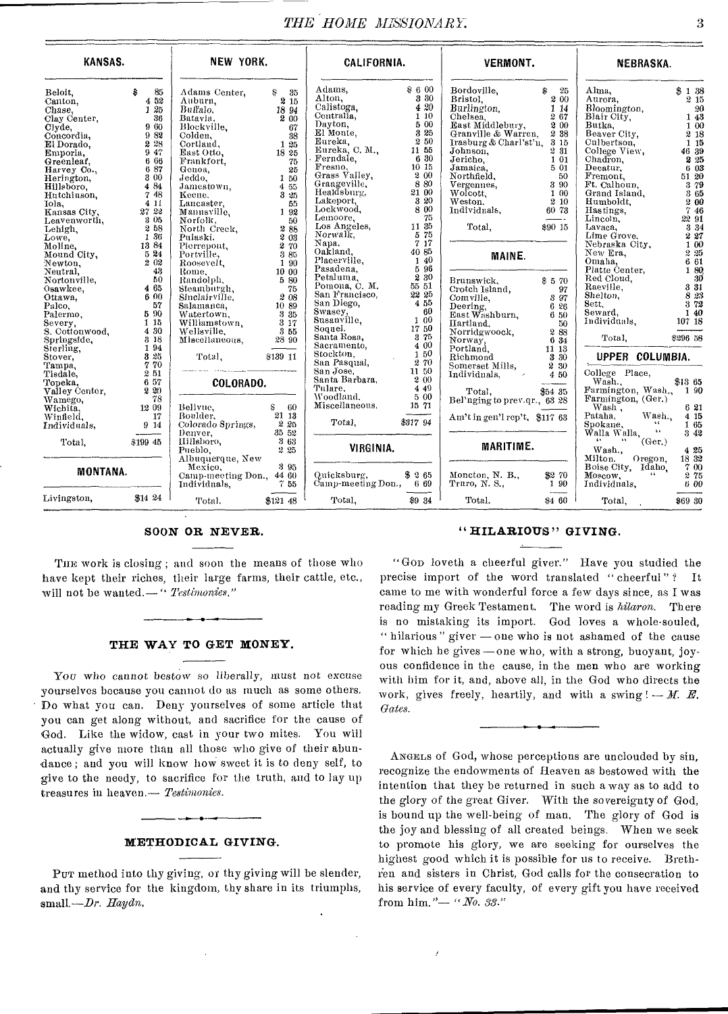# **THE HOME MISSIONARY.** 3

| KANSAS.                                                                                                                                                                                                                                                                                                                                                                                                                                                     |                                                                                                                          | NEW YORK.                                                                                                                                                                                                                                                                                                                                                                                                                                                                                                                                                                  |                                                                                                                                                                     | CALIFORNIA.                                                                                                                                                                                                                                                                                   |                       | <b>VERMONT.</b>                                                                                                                                                                                                                                                                                                                                                                                                                                                                                                                          |                                                                           | <b>NEBRASKA.</b>                                                                                                                                                                                                                                                                                                                                                                                                                                                                                              |                                                                                                                                                                                                             |
|-------------------------------------------------------------------------------------------------------------------------------------------------------------------------------------------------------------------------------------------------------------------------------------------------------------------------------------------------------------------------------------------------------------------------------------------------------------|--------------------------------------------------------------------------------------------------------------------------|----------------------------------------------------------------------------------------------------------------------------------------------------------------------------------------------------------------------------------------------------------------------------------------------------------------------------------------------------------------------------------------------------------------------------------------------------------------------------------------------------------------------------------------------------------------------------|---------------------------------------------------------------------------------------------------------------------------------------------------------------------|-----------------------------------------------------------------------------------------------------------------------------------------------------------------------------------------------------------------------------------------------------------------------------------------------|-----------------------|------------------------------------------------------------------------------------------------------------------------------------------------------------------------------------------------------------------------------------------------------------------------------------------------------------------------------------------------------------------------------------------------------------------------------------------------------------------------------------------------------------------------------------------|---------------------------------------------------------------------------|---------------------------------------------------------------------------------------------------------------------------------------------------------------------------------------------------------------------------------------------------------------------------------------------------------------------------------------------------------------------------------------------------------------------------------------------------------------------------------------------------------------|-------------------------------------------------------------------------------------------------------------------------------------------------------------------------------------------------------------|
| Beloit.<br>Canton,<br>Chase,<br>Clay Center.<br>Clyde,<br>Concordia,<br>El Dorado.<br>Emporia,<br>Greenleaf,<br>Harvey Co.,<br>Herington,<br>Hillsboro.<br>Hutchinson,<br>Iola.<br>101a, 4 11<br>Ransas City, 27<br>22<br>Ransas City, 28<br>Leavenworth, 306<br>Leavenworth, 306<br>Leavenworth, 52<br>Moline, 138<br>Moline, 138<br>Moline, 138<br>Newton, 202<br>Newton, 202<br>Newton, 202<br>Newton, 202<br>Newton, 202<br>Sawkee, 465<br>Os<br>Palco, | $\hat{s}$<br>85<br>4 52<br>125<br>-36<br>960<br>982<br>2 28<br>9 47<br>6 66<br>687<br>3 00<br>4 84<br>748<br>4 1 1<br>57 | Adams Center,<br>Auburn.<br>Buffalo.<br>Batavia.<br>Blockville.<br>Flockwine, 38<br>Jolden, 38<br>Jordland, 125<br>East Otto, 18<br>Frankfort, 25<br>Genoa, 25<br>Jamestown, 455<br>Mamestown, 455<br>Mamestown, 325<br>Mamestown, 325<br>Lancaster, 55<br>Manusyille, 192<br>80<br>Norfolk,<br>North Creek,<br>Pulaski,<br>Pierrepout,<br>Portville,<br>Roosevelt,<br>Rome,<br>Randolplı,<br>Steamburgh.<br>Steamburgh, 76<br>Shalamanca, 2008<br>Shalamanca, 1089<br>Watertown, 3385<br>Williamstown, 317<br>Williamstown, 317<br>Wellsville, 355<br>Miscellaneous, 2890 | $\begin{array}{c} \$& 35\\ {\textbf{2}}& 15 \end{array}$<br>18 94<br>2 00<br>-67<br>- 50<br>288<br>$2\overline{03}$<br>2 70<br>-3-85<br>1 90<br>10 00<br>5 80<br>75 | Adams,<br>Alton.<br>Calistoga.<br>Anony<br>Calistoga, 420<br>Calistoga, 420<br>Dayton, 500<br>Dayton, 500<br>Eureka, C. M., 71 55<br>Eureka, C. M., 71 55<br>Ferendae, 635<br>Fresno, 90<br>Grangeville, 200<br>Grangeville, 880<br>Lockwood, 880<br>Lockwood, 880<br>Lockwood, 890<br>Lockwo | \$600<br>3 30<br>4 20 | Bordoville,<br>Bristol.<br>Burlington,<br>Burlington,<br>Chelses 267<br>Chelsea.<br>East Middlebury, 200<br>Granville & Warren, 238<br>Irasburg & Charl'st'n, 3 15<br>Johnson,<br>Nobisson, 2008<br>Johnson, 2008<br>Jericho, 100<br>Jamaica, 500<br>Northfield, 500<br>Wolcott, 100<br>Weston. 200<br>Hulvidnals, 6073<br>Total,<br><b>MAINE.</b><br>Brunswick, \$570<br>Crotch Island, 97<br>Comville, 587<br>Deering, 626<br>Deering, 650<br>Tarkland 50<br>Tarkland 50<br>Hartland,                                                  | $\begin{array}{c} 8 \\ 2 \ 00 \end{array}$<br>267<br>231<br>\$90 15<br>50 | Alma.<br>Aurora,<br>Bloomington,<br>Blair City,<br>Butka,<br>Butka,<br>Beaver City,<br>Culbertson,<br>College View,<br>Chadron.<br>Chadron,<br>Chadron,<br>Decatur,<br>Fremont,<br>Ft. Calhoun,<br>rt. Camoun,<br>Humboldt,<br>Humboldt,<br>Lincoln,<br>Lincoln,<br>Lincoln,<br>Mahsaska City,<br>Nebraska City,<br>New Era,<br>Omaha,<br>Omaha, 6 61<br>Plate Center, 1 80<br>Paed Cloud, 8 31<br>Read Cloud, 8 31<br>Shelton, 8 32<br>Sect, 8 373<br>Seward, 1 40<br>Individuals, 107 18<br>Total, \$296 58 | \$138<br>2 15<br>$\begin{smallmatrix} &20\1&43\end{smallmatrix}$<br>$1\,00$<br>2 18<br>1 15<br>46 39<br>2 25<br>6 03<br>51 20<br>3 79<br>3 65<br>200<br>746<br>22 91<br>3 3 4<br>227<br>1 00<br>225<br>6 61 |
| Paleo, 57<br>Paleo, 57<br>Revery, 590<br>S. Cottonwood, 480<br>S. Cottonwood, 480<br>S. Cottonwood, 480<br>Sterling, 882<br>Sterling, 780<br>Trampa, 770<br>Tiangle, 780<br>Tiangle, 857<br>Tiangle, 857<br>Namego, 182<br>Namego,<br>Wamego,                                                                                                                                                                                                               | - 78                                                                                                                     | Total, \$139 11<br>COLORADO.                                                                                                                                                                                                                                                                                                                                                                                                                                                                                                                                               |                                                                                                                                                                     | San Diego, 450<br>Susasy, 450<br>Susasylle, 100<br>Susasylle, 1750<br>Santa Rosa, 375<br>Sacramento, 400<br>San Pasqual, 270<br>San Pasqual, 270<br>San Pasqual, 270<br>San Aose, 1150<br>San Aose, 210<br>Tulare, 200<br>Tulare.<br>Woodland, 5 00<br>Miscellaneous, 15 71                   | 4 4 9                 | $\begin{tabular}{l c c} \hline \multicolumn{1}{c}{\textbf{Iarlland,}} & \multicolumn{1}{c}{\textbf{50}} \\ \hline \multicolumn{1}{c}{\textbf{Naturalwood,}} & \multicolumn{1}{c}{\textbf{50}} \\ \hline \multicolumn{1}{c}{\textbf{Norvday,}} & \multicolumn{1}{c}{\textbf{8}} & \multicolumn{1}{c}{\textbf{83}} \\ \hline \multicolumn{1}{c}{\textbf{Norvay,}} & \multicolumn{1}{c}{\textbf{8}} & \multicolumn{1}{c}{\textbf{83}} \\ \hline \multicolumn{1}{c}{\textbf{Portland,}} &$<br>Total, \$54 35<br>Bel'nging to prev.qr., 63 28 |                                                                           | UPPER COLUMBIA.<br>College Place,<br>Wash.<br>Farmington, Wash., 1 90<br>Farmington, (Ger.)                                                                                                                                                                                                                                                                                                                                                                                                                   | \$13 65                                                                                                                                                                                                     |
| Wichita.<br>Winfield.<br>Individuals,<br>Total,                                                                                                                                                                                                                                                                                                                                                                                                             | $\begin{array}{c} 12\ \ 09 \\ 17 \end{array}$<br>17<br>$9\,$ $\tilde{14}$<br>$$199\;45$                                  | Bellyue.<br>Boulder,<br>Colorado Springs,<br>Denver,<br>IIillsboro,                                                                                                                                                                                                                                                                                                                                                                                                                                                                                                        | $\begin{array}{c} \texttt{S} \\ \texttt{21 } \texttt{13} \end{array}$<br>2 25<br>35 52<br>$\frac{868}{905}$                                                         | Total, \$317 94                                                                                                                                                                                                                                                                               |                       | Am't in gen'l rep't, \$117 63                                                                                                                                                                                                                                                                                                                                                                                                                                                                                                            |                                                                           | Farming<br>Wash,<br>Patana, Wash,<br>Chang Wash,<br>Walla, Walla, (Ger.)                                                                                                                                                                                                                                                                                                                                                                                                                                      | 6 21<br>4 15<br>1 65<br>3 42                                                                                                                                                                                |
| MONTANA.<br>Livingston, $$14\,24$                                                                                                                                                                                                                                                                                                                                                                                                                           |                                                                                                                          | Pueblo,<br>Albuquerque, New<br>Mexico.<br>Camp-meeting Don., 44 60<br>Individuals, 755<br>Total.                                                                                                                                                                                                                                                                                                                                                                                                                                                                           | 2 25<br>3 95<br>\$121 48                                                                                                                                            | VIRGINIA.<br>Quicksburg,<br>Camp-meeting Don., 669<br>Total.                                                                                                                                                                                                                                  | \$265<br>\$9 34       | <b>MARITIME.</b><br>Moncton, N. B., \$2 70<br>Truro, N. S., 1 90<br>Total.                                                                                                                                                                                                                                                                                                                                                                                                                                                               | $\sim$<br>\$460                                                           | Wash.,<br>Oregon.<br>Milton. Oregon.<br>Boise City, Idaho.<br>$-44 -$<br>Moscow,<br>Individuals,<br>Total,                                                                                                                                                                                                                                                                                                                                                                                                    | 4 25<br>18 32<br>700<br>2 75<br>6 00<br>\$69 30                                                                                                                                                             |

THE work is closing ; and soon the means of those who have kept their riches, their large farms, their cattle, etc., will not be wanted.—" *Testimonies,"* 

## **THE WAY TO GET MONEY.**

You who cannot bestow so liberally, must not excuse yourselves because you cannot do as much as some others. Do what you can. Deny yourselves of some article that you can get along without, and sacrifice for the cause of God. Like the widow, cast in your two mites. You will actually give more than all those who give of their abundance; and you will know how sweet it is to deny self, to give to the needy, to sacrifice for the truth, and to lay up treasures in heaven.— *Testimonie8.* 

#### **METHODICAL GIVING.**

PUT method into thy giving, or thy giving will be slender, and thy service for the kingdom, thy share in its triumphs, small*,--Dr. Haydn*,

#### SOON **OR NEVER. "HILARIOUS" GIVING.**

"Gop loveth a cheerful giver." Have you studied the precise import of the word translated "cheerful"? It came to me with wonderful force a few days since, as I was reading my Greek Testament. The word is *hilaron.* There is no mistaking its import. God loves a whole-souled, " hilarious " giver — one who is not ashamed of the cause for which he gives —one who, with a strong, buoyant, joyous confidence in the cause, in the men who are working with him for it, and, above all, in the God who directs the work, gives freely, heartily, and with a swing  $! - M$ . E. *Gates.* 

ANGELS of God, whose perceptions are unclouded by sin, recognize the endowments of Heaven as bestowed with the intention that they be returned in such a way as to add to the glory of the great Giver. With the sovereignty of God, is bound up the well-being of man. The glory of God is the joy and blessing of all created beings. When we seek to promote his glory, we are seeking for ourselves the highest good which it is possible for us to receive. Brethien and sisters in Christ, God calls for the consecration to his service of every faculty, of every gift you have received from him."— *"No. 33."*